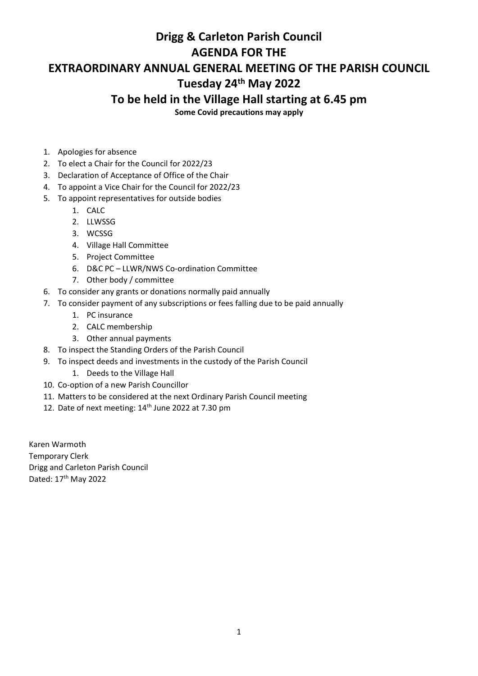## **Drigg & Carleton Parish Council AGENDA FOR THE EXTRAORDINARY ANNUAL GENERAL MEETING OF THE PARISH COUNCIL Tuesday 24th May 2022 To be held in the Village Hall starting at 6.45 pm Some Covid precautions may apply**

1. Apologies for absence

- 2. To elect a Chair for the Council for 2022/23
- 3. Declaration of Acceptance of Office of the Chair
- 4. To appoint a Vice Chair for the Council for 2022/23
- 5. To appoint representatives for outside bodies
	- 1. CALC
	- 2. LLWSSG
	- 3. WCSSG
	- 4. Village Hall Committee
	- 5. Project Committee
	- 6. D&C PC LLWR/NWS Co-ordination Committee
	- 7. Other body / committee
- 6. To consider any grants or donations normally paid annually
- 7. To consider payment of any subscriptions or fees falling due to be paid annually
	- 1. PC insurance
	- 2. CALC membership
	- 3. Other annual payments
- 8. To inspect the Standing Orders of the Parish Council
- 9. To inspect deeds and investments in the custody of the Parish Council
	- 1. Deeds to the Village Hall
- 10. Co-option of a new Parish Councillor
- 11. Matters to be considered at the next Ordinary Parish Council meeting
- 12. Date of next meeting: 14<sup>th</sup> June 2022 at 7.30 pm

Karen Warmoth Temporary Clerk Drigg and Carleton Parish Council Dated: 17<sup>th</sup> May 2022